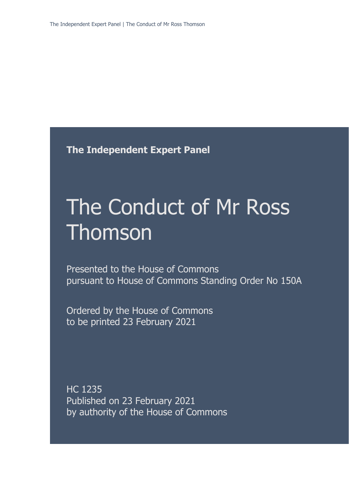**The Independent Expert Panel**

# The Conduct of Mr Ross Thomson

Presented to the House of Commons pursuant to House of Commons Standing Order No 150A

Ordered by the House of Commons to be printed 23 February 2021

HC 1235 Published on 23 February 2021 by authority of the House of Commons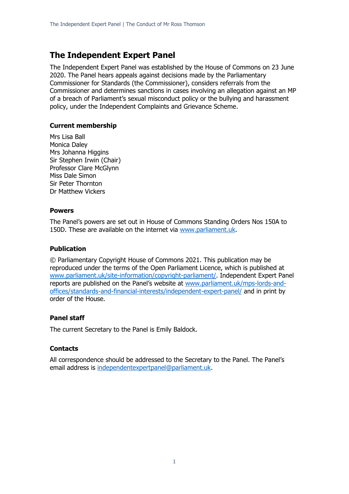### **The Independent Expert Panel**

The Independent Expert Panel was established by the House of Commons on 23 June 2020. The Panel hears appeals against decisions made by the Parliamentary Commissioner for Standards (the Commissioner), considers referrals from the Commissioner and determines sanctions in cases involving an allegation against an MP of a breach of Parliament's sexual misconduct policy or the bullying and harassment policy, under the Independent Complaints and Grievance Scheme.

### **Current membership**

Mrs Lisa Ball Monica Daley Mrs Johanna Higgins Sir Stephen Irwin (Chair) Professor Clare McGlynn Miss Dale Simon Sir Peter Thornton Dr Matthew Vickers

#### **Powers**

The Panel's powers are set out in House of Commons Standing Orders Nos 150A to 150D. These are available on the internet via [www.parliament.uk.](http://www.parliament.uk/)

### **Publication**

© Parliamentary Copyright House of Commons 2021. This publication may be reproduced under the terms of the Open Parliament Licence, which is published at [www.parliament.uk/site-information/copyright-parliament/.](http://www.parliament.uk/site-information/copyright-parliament/) Independent Expert Panel reports are published on the Panel's website at [www.parliament.uk/mps-lords-and](http://www.parliament.uk/mps-lords-and-offices/standards-and-financial-interests/independent-expert-panel/)[offices/standards-and-financial-interests/independent-expert-panel/](http://www.parliament.uk/mps-lords-and-offices/standards-and-financial-interests/independent-expert-panel/) and in print by order of the House.

### **Panel staff**

The current Secretary to the Panel is Emily Baldock.

### **Contacts**

All correspondence should be addressed to the Secretary to the Panel. The Panel's email address is [independentexpertpanel@parliament.uk.](mailto:independentexpertpanel@parliament.uk)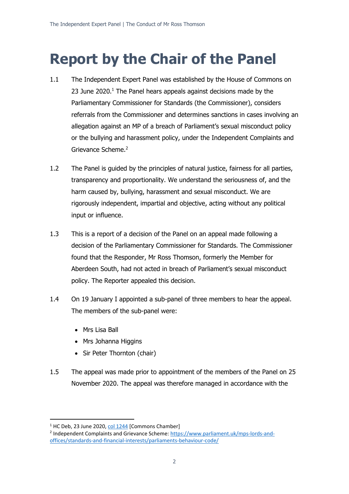## **Report by the Chair of the Panel**

- 1.1 The Independent Expert Panel was established by the House of Commons on 23 June 2020.<sup>1</sup> The Panel hears appeals against decisions made by the Parliamentary Commissioner for Standards (the Commissioner), considers referrals from the Commissioner and determines sanctions in cases involving an allegation against an MP of a breach of Parliament's sexual misconduct policy or the bullying and harassment policy, under the Independent Complaints and Grievance Scheme.<sup>2</sup>
- 1.2 The Panel is guided by the principles of natural justice, fairness for all parties, transparency and proportionality. We understand the seriousness of, and the harm caused by, bullying, harassment and sexual misconduct. We are rigorously independent, impartial and objective, acting without any political input or influence.
- 1.3 This is a report of a decision of the Panel on an appeal made following a decision of the Parliamentary Commissioner for Standards. The Commissioner found that the Responder, Mr Ross Thomson, formerly the Member for Aberdeen South, had not acted in breach of Parliament's sexual misconduct policy. The Reporter appealed this decision.
- 1.4 On 19 January I appointed a sub-panel of three members to hear the appeal. The members of the sub-panel were:
	- Mrs Lisa Ball
	- Mrs Johanna Higgins
	- Sir Peter Thornton (chair)
- 1.5 The appeal was made prior to appointment of the members of the Panel on 25 November 2020. The appeal was therefore managed in accordance with the

<sup>&</sup>lt;sup>1</sup> HC Deb, 23 June 2020, [col 1244](https://hansard.parliament.uk/commons/2020-06-23/debates/9646C6AF-0D3A-424B-8949-E809F658DB4C/IndependentComplaintsAndGrievanceScheme) [Commons Chamber]

<sup>&</sup>lt;sup>2</sup> Independent Complaints and Grievance Scheme: [https://www.parliament.uk/mps-lords-and](https://www.parliament.uk/mps-lords-and-offices/standards-and-financial-interests/parliaments-behaviour-code/)[offices/standards-and-financial-interests/parliaments-behaviour-code/](https://www.parliament.uk/mps-lords-and-offices/standards-and-financial-interests/parliaments-behaviour-code/)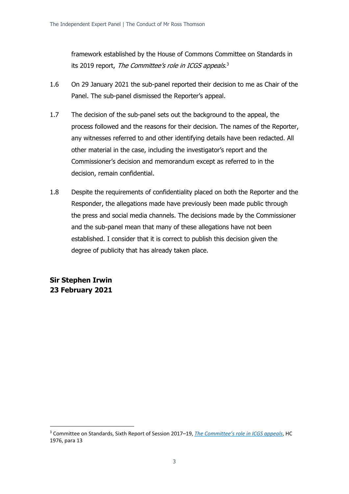framework established by the House of Commons Committee on Standards in its 2019 report, The Committee's role in ICGS appeals.<sup>3</sup>

- 1.6 On 29 January 2021 the sub-panel reported their decision to me as Chair of the Panel. The sub-panel dismissed the Reporter's appeal.
- 1.7 The decision of the sub-panel sets out the background to the appeal, the process followed and the reasons for their decision. The names of the Reporter, any witnesses referred to and other identifying details have been redacted. All other material in the case, including the investigator's report and the Commissioner's decision and memorandum except as referred to in the decision, remain confidential.
- 1.8 Despite the requirements of confidentiality placed on both the Reporter and the Responder, the allegations made have previously been made public through the press and social media channels. The decisions made by the Commissioner and the sub-panel mean that many of these allegations have not been established. I consider that it is correct to publish this decision given the degree of publicity that has already taken place.

**Sir Stephen Irwin 23 February 2021**

<sup>3</sup> Committee on Standards, Sixth Report of Session 2017–19, *[The Committee's role in ICGS appeals](https://publications.parliament.uk/pa/cm201719/cmselect/cmstandards/1976/1976.pdf)*, HC 1976, para 13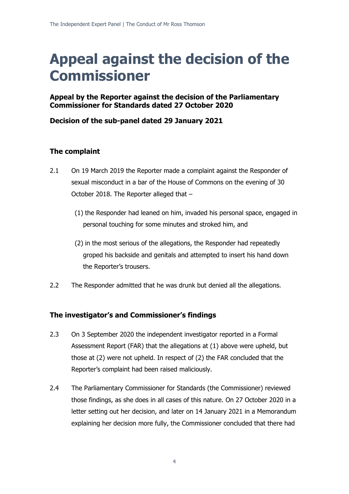## **Appeal against the decision of the Commissioner**

### **Appeal by the Reporter against the decision of the Parliamentary Commissioner for Standards dated 27 October 2020**

### **Decision of the sub-panel dated 29 January 2021**

### **The complaint**

- 2.1 On 19 March 2019 the Reporter made a complaint against the Responder of sexual misconduct in a bar of the House of Commons on the evening of 30 October 2018. The Reporter alleged that –
	- (1) the Responder had leaned on him, invaded his personal space, engaged in personal touching for some minutes and stroked him, and
	- (2) in the most serious of the allegations, the Responder had repeatedly groped his backside and genitals and attempted to insert his hand down the Reporter's trousers.
- 2.2 The Responder admitted that he was drunk but denied all the allegations.

### **The investigator's and Commissioner's findings**

- 2.3 On 3 September 2020 the independent investigator reported in a Formal Assessment Report (FAR) that the allegations at (1) above were upheld, but those at (2) were not upheld. In respect of (2) the FAR concluded that the Reporter's complaint had been raised maliciously.
- 2.4 The Parliamentary Commissioner for Standards (the Commissioner) reviewed those findings, as she does in all cases of this nature. On 27 October 2020 in a letter setting out her decision, and later on 14 January 2021 in a Memorandum explaining her decision more fully, the Commissioner concluded that there had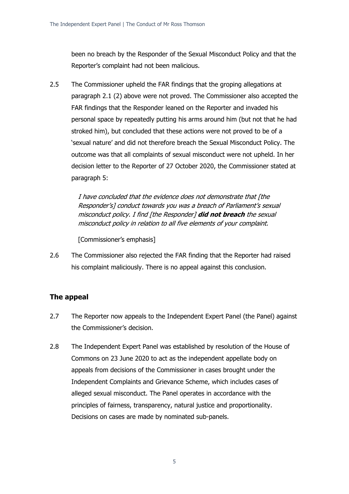been no breach by the Responder of the Sexual Misconduct Policy and that the Reporter's complaint had not been malicious.

2.5 The Commissioner upheld the FAR findings that the groping allegations at paragraph 2.1 (2) above were not proved. The Commissioner also accepted the FAR findings that the Responder leaned on the Reporter and invaded his personal space by repeatedly putting his arms around him (but not that he had stroked him), but concluded that these actions were not proved to be of a 'sexual nature' and did not therefore breach the Sexual Misconduct Policy. The outcome was that all complaints of sexual misconduct were not upheld. In her decision letter to the Reporter of 27 October 2020, the Commissioner stated at paragraph 5:

> I have concluded that the evidence does not demonstrate that [the Responder's] conduct towards you was a breach of Parliament's sexual misconduct policy. I find [the Responder] **did not breach** the sexual misconduct policy in relation to all five elements of your complaint.

[Commissioner's emphasis]

2.6 The Commissioner also rejected the FAR finding that the Reporter had raised his complaint maliciously. There is no appeal against this conclusion.

### **The appeal**

- 2.7 The Reporter now appeals to the Independent Expert Panel (the Panel) against the Commissioner's decision.
- 2.8 The Independent Expert Panel was established by resolution of the House of Commons on 23 June 2020 to act as the independent appellate body on appeals from decisions of the Commissioner in cases brought under the Independent Complaints and Grievance Scheme, which includes cases of alleged sexual misconduct. The Panel operates in accordance with the principles of fairness, transparency, natural justice and proportionality. Decisions on cases are made by nominated sub-panels.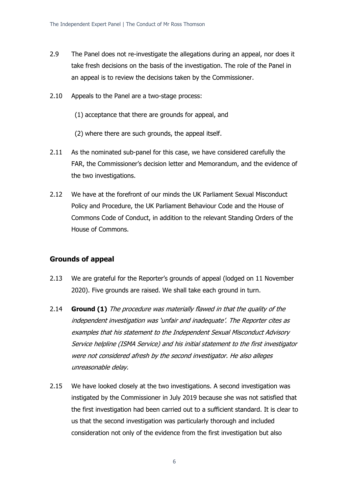- 2.9 The Panel does not re-investigate the allegations during an appeal, nor does it take fresh decisions on the basis of the investigation. The role of the Panel in an appeal is to review the decisions taken by the Commissioner.
- 2.10 Appeals to the Panel are a two-stage process:
	- (1) acceptance that there are grounds for appeal, and
	- (2) where there are such grounds, the appeal itself.
- 2.11 As the nominated sub-panel for this case, we have considered carefully the FAR, the Commissioner's decision letter and Memorandum, and the evidence of the two investigations.
- 2.12 We have at the forefront of our minds the UK Parliament Sexual Misconduct Policy and Procedure, the UK Parliament Behaviour Code and the House of Commons Code of Conduct, in addition to the relevant Standing Orders of the House of Commons.

### **Grounds of appeal**

- 2.13 We are grateful for the Reporter's grounds of appeal (lodged on 11 November 2020). Five grounds are raised. We shall take each ground in turn.
- 2.14 **Ground (1)** The procedure was materially flawed in that the quality of the independent investigation was 'unfair and inadequate'. The Reporter cites as examples that his statement to the Independent Sexual Misconduct Advisory Service helpline (ISMA Service) and his initial statement to the first investigator were not considered afresh by the second investigator. He also alleges unreasonable delay.
- 2.15 We have looked closely at the two investigations. A second investigation was instigated by the Commissioner in July 2019 because she was not satisfied that the first investigation had been carried out to a sufficient standard. It is clear to us that the second investigation was particularly thorough and included consideration not only of the evidence from the first investigation but also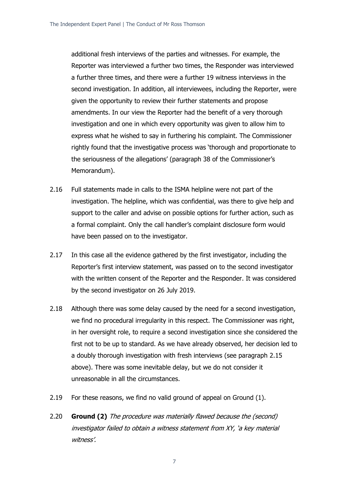additional fresh interviews of the parties and witnesses. For example, the Reporter was interviewed a further two times, the Responder was interviewed a further three times, and there were a further 19 witness interviews in the second investigation. In addition, all interviewees, including the Reporter, were given the opportunity to review their further statements and propose amendments. In our view the Reporter had the benefit of a very thorough investigation and one in which every opportunity was given to allow him to express what he wished to say in furthering his complaint. The Commissioner rightly found that the investigative process was 'thorough and proportionate to the seriousness of the allegations' (paragraph 38 of the Commissioner's Memorandum).

- 2.16 Full statements made in calls to the ISMA helpline were not part of the investigation. The helpline, which was confidential, was there to give help and support to the caller and advise on possible options for further action, such as a formal complaint. Only the call handler's complaint disclosure form would have been passed on to the investigator.
- 2.17 In this case all the evidence gathered by the first investigator, including the Reporter's first interview statement, was passed on to the second investigator with the written consent of the Reporter and the Responder. It was considered by the second investigator on 26 July 2019.
- 2.18 Although there was some delay caused by the need for a second investigation, we find no procedural irregularity in this respect. The Commissioner was right, in her oversight role, to require a second investigation since she considered the first not to be up to standard. As we have already observed, her decision led to a doubly thorough investigation with fresh interviews (see paragraph 2.15 above). There was some inevitable delay, but we do not consider it unreasonable in all the circumstances.
- 2.19 For these reasons, we find no valid ground of appeal on Ground (1).
- 2.20 **Ground (2)** The procedure was materially flawed because the (second) investigator failed to obtain a witness statement from XY, 'a key material witness'.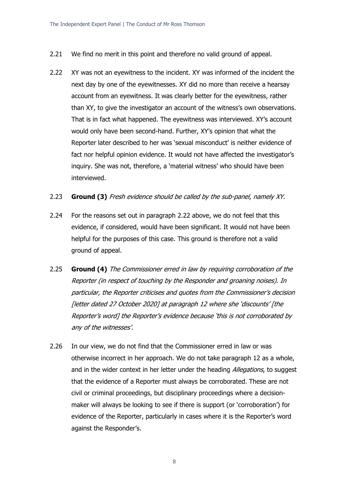- 2.21 We find no merit in this point and therefore no valid ground of appeal.
- 2.22 XY was not an eyewitness to the incident. XY was informed of the incident the next day by one of the eyewitnesses. XY did no more than receive a hearsay account from an eyewitness. It was clearly better for the eyewitness, rather than XY, to give the investigator an account of the witness's own observations. That is in fact what happened. The eyewitness was interviewed. XY's account would only have been second-hand. Further, XY's opinion that what the Reporter later described to her was 'sexual misconduct' is neither evidence of fact nor helpful opinion evidence. It would not have affected the investigator's inquiry. She was not, therefore, a 'material witness' who should have been interviewed.
- 2.23 **Ground (3)** Fresh evidence should be called by the sub-panel, namely XY.
- 2.24 For the reasons set out in paragraph 2.22 above, we do not feel that this evidence, if considered, would have been significant. It would not have been helpful for the purposes of this case. This ground is therefore not a valid ground of appeal.
- 2.25 **Ground (4)** The Commissioner erred in law by requiring corroboration of the Reporter (in respect of touching by the Responder and groaning noises). In particular, the Reporter criticises and quotes from the Commissioner's decision [letter dated 27 October 2020] at paragraph 12 where she 'discounts' [the Reporter's word] the Reporter's evidence because 'this is not corroborated by any of the witnesses'.
- 2.26 In our view, we do not find that the Commissioner erred in law or was otherwise incorrect in her approach. We do not take paragraph 12 as a whole, and in the wider context in her letter under the heading *Allegations*, to suggest that the evidence of a Reporter must always be corroborated. These are not civil or criminal proceedings, but disciplinary proceedings where a decisionmaker will always be looking to see if there is support (or 'corroboration') for evidence of the Reporter, particularly in cases where it is the Reporter's word against the Responder's.

8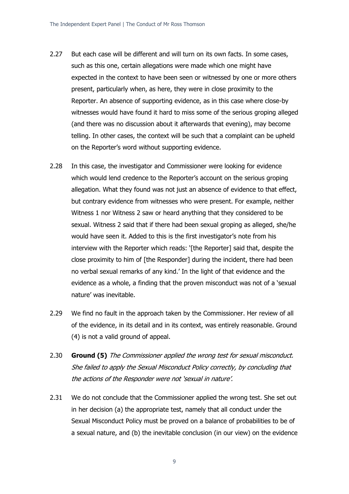- 2.27 But each case will be different and will turn on its own facts. In some cases, such as this one, certain allegations were made which one might have expected in the context to have been seen or witnessed by one or more others present, particularly when, as here, they were in close proximity to the Reporter. An absence of supporting evidence, as in this case where close-by witnesses would have found it hard to miss some of the serious groping alleged (and there was no discussion about it afterwards that evening), may become telling. In other cases, the context will be such that a complaint can be upheld on the Reporter's word without supporting evidence.
- 2.28 In this case, the investigator and Commissioner were looking for evidence which would lend credence to the Reporter's account on the serious groping allegation. What they found was not just an absence of evidence to that effect, but contrary evidence from witnesses who were present. For example, neither Witness 1 nor Witness 2 saw or heard anything that they considered to be sexual. Witness 2 said that if there had been sexual groping as alleged, she/he would have seen it. Added to this is the first investigator's note from his interview with the Reporter which reads: '[the Reporter] said that, despite the close proximity to him of [the Responder] during the incident, there had been no verbal sexual remarks of any kind.' In the light of that evidence and the evidence as a whole, a finding that the proven misconduct was not of a 'sexual nature' was inevitable.
- 2.29 We find no fault in the approach taken by the Commissioner. Her review of all of the evidence, in its detail and in its context, was entirely reasonable. Ground (4) is not a valid ground of appeal.
- 2.30 **Ground (5)** The Commissioner applied the wrong test for sexual misconduct. She failed to apply the Sexual Misconduct Policy correctly, by concluding that the actions of the Responder were not 'sexual in nature'.
- 2.31 We do not conclude that the Commissioner applied the wrong test. She set out in her decision (a) the appropriate test, namely that all conduct under the Sexual Misconduct Policy must be proved on a balance of probabilities to be of a sexual nature, and (b) the inevitable conclusion (in our view) on the evidence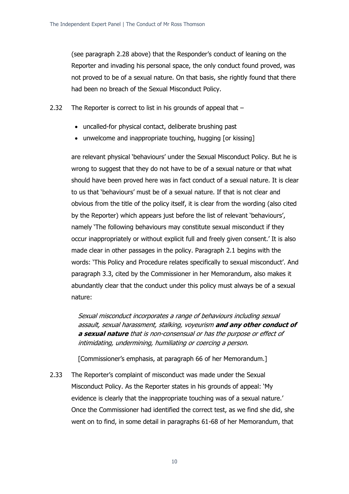(see paragraph 2.28 above) that the Responder's conduct of leaning on the Reporter and invading his personal space, the only conduct found proved, was not proved to be of a sexual nature. On that basis, she rightly found that there had been no breach of the Sexual Misconduct Policy.

- 2.32 The Reporter is correct to list in his grounds of appeal that
	- uncalled-for physical contact, deliberate brushing past
	- unwelcome and inappropriate touching, hugging [or kissing]

are relevant physical 'behaviours' under the Sexual Misconduct Policy. But he is wrong to suggest that they do not have to be of a sexual nature or that what should have been proved here was in fact conduct of a sexual nature. It is clear to us that 'behaviours' must be of a sexual nature. If that is not clear and obvious from the title of the policy itself, it is clear from the wording (also cited by the Reporter) which appears just before the list of relevant 'behaviours', namely 'The following behaviours may constitute sexual misconduct if they occur inappropriately or without explicit full and freely given consent.' It is also made clear in other passages in the policy. Paragraph 2.1 begins with the words: 'This Policy and Procedure relates specifically to sexual misconduct'. And paragraph 3.3, cited by the Commissioner in her Memorandum, also makes it abundantly clear that the conduct under this policy must always be of a sexual nature:

Sexual misconduct incorporates a range of behaviours including sexual assault, sexual harassment, stalking, voyeurism **and any other conduct of a sexual nature** that is non-consensual or has the purpose or effect of intimidating, undermining, humiliating or coercing a person.

[Commissioner's emphasis, at paragraph 66 of her Memorandum.]

2.33 The Reporter's complaint of misconduct was made under the Sexual Misconduct Policy. As the Reporter states in his grounds of appeal: 'My evidence is clearly that the inappropriate touching was of a sexual nature.' Once the Commissioner had identified the correct test, as we find she did, she went on to find, in some detail in paragraphs 61-68 of her Memorandum, that